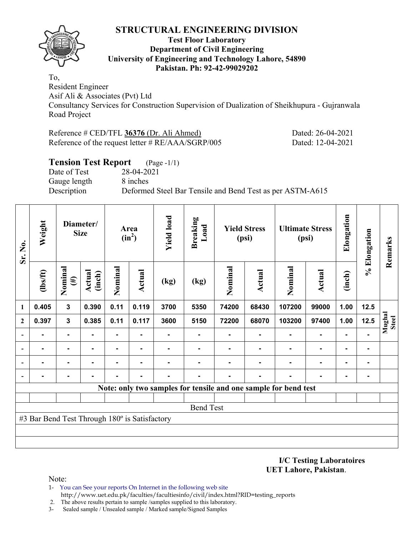

#### **Test Floor Laboratory Department of Civil Engineering University of Engineering and Technology Lahore, 54890 Pakistan. Ph: 92-42-99029202**

To,

Resident Engineer Asif Ali & Associates (Pvt) Ltd Consultancy Services for Construction Supervision of Dualization of Sheikhupura - Gujranwala Road Project

Reference # CED/TFL **36376** (Dr. Ali Ahmed) Dated: 26-04-2021 Reference of the request letter # RE/AAA/SGRP/005 Dated: 12-04-2021

## **Tension Test Report** (Page -1/1) Date of Test 28-04-2021 Gauge length 8 inches Description Deformed Steel Bar Tensile and Bend Test as per ASTM-A615

| Sr. No.      | Weight                                        | Diameter/<br><b>Size</b> |                  |         |        | Area<br>$(in^2)$ |                                                                 | <b>Yield load</b> | <b>Breaking</b><br>Load | <b>Yield Stress</b><br>(psi) |               | <b>Ultimate Stress</b><br>(psi) |                | Elongation             | % Elongation | Remarks |
|--------------|-----------------------------------------------|--------------------------|------------------|---------|--------|------------------|-----------------------------------------------------------------|-------------------|-------------------------|------------------------------|---------------|---------------------------------|----------------|------------------------|--------------|---------|
|              | (1bs/ft)                                      | Nominal<br>$(\#)$        | Actual<br>(inch) | Nominal | Actual | (kg)             | (kg)                                                            | Nominal           | <b>Actual</b>           | Nominal                      | <b>Actual</b> | (inch)                          |                |                        |              |         |
| 1            | 0.405                                         | $\mathbf{3}$             | 0.390            | 0.11    | 0.119  | 3700             | 5350                                                            | 74200             | 68430                   | 107200                       | 99000         | 1.00                            | 12.5           |                        |              |         |
| $\mathbf{2}$ | 0.397                                         | $\mathbf{3}$             | 0.385            | 0.11    | 0.117  | 3600             | 5150                                                            | 72200             | 68070                   | 103200                       | 97400         | 1.00                            | 12.5           | Mughal<br><b>Steel</b> |              |         |
|              |                                               |                          |                  |         |        |                  |                                                                 |                   |                         |                              | ٠             |                                 |                |                        |              |         |
|              |                                               |                          |                  | ۰       |        |                  |                                                                 |                   |                         |                              | ۰             | ٠                               | $\blacksquare$ |                        |              |         |
|              |                                               | $\blacksquare$           |                  |         |        |                  |                                                                 |                   |                         |                              | ٠             | ٠                               | $\blacksquare$ |                        |              |         |
|              |                                               |                          |                  |         |        |                  |                                                                 |                   |                         |                              |               |                                 |                |                        |              |         |
|              |                                               |                          |                  |         |        |                  | Note: only two samples for tensile and one sample for bend test |                   |                         |                              |               |                                 |                |                        |              |         |
|              |                                               |                          |                  |         |        |                  |                                                                 |                   |                         |                              |               |                                 |                |                        |              |         |
|              |                                               |                          |                  |         |        |                  | <b>Bend Test</b>                                                |                   |                         |                              |               |                                 |                |                        |              |         |
|              | #3 Bar Bend Test Through 180° is Satisfactory |                          |                  |         |        |                  |                                                                 |                   |                         |                              |               |                                 |                |                        |              |         |
|              |                                               |                          |                  |         |        |                  |                                                                 |                   |                         |                              |               |                                 |                |                        |              |         |
|              |                                               |                          |                  |         |        |                  |                                                                 |                   |                         |                              |               |                                 |                |                        |              |         |

**I/C Testing Laboratoires UET Lahore, Pakistan**.

Note:

- 1- You can See your reports On Internet in the following web site http://www.uet.edu.pk/faculties/facultiesinfo/civil/index.html?RID=testing\_reports
- 2. The above results pertain to sample /samples supplied to this laboratory.
- 3- Sealed sample / Unsealed sample / Marked sample/Signed Samples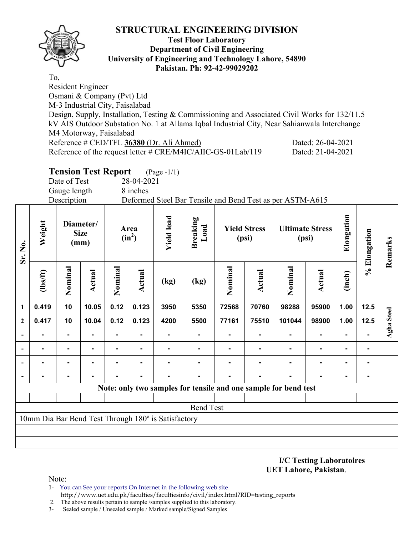### **Test Floor Laboratory Department of Civil Engineering University of Engineering and Technology Lahore, 54890 Pakistan. Ph: 92-42-99029202**

To, Resident Engineer Osmani & Company (Pvt) Ltd M-3 Industrial City, Faisalabad Design, Supply, Installation, Testing & Commissioning and Associated Civil Works for 132/11.5 kV AIS Outdoor Substation No. 1 at Allama Iqbal Industrial City, Near Sahianwala Interchange M4 Motorway, Faisalabad Reference # CED/TFL **36380** (Dr. Ali Ahmed) Dated: 26-04-2021 Reference of the request letter # CRE/M4IC/AIIC-GS-01Lab/119 Dated: 21-04-2021

**Tension Test Report** (Page -1/1)

Date of Test 28-04-2021

Gauge length 8 inches

Description Deformed Steel Bar Tensile and Bend Test as per ASTM-A615

| Weight<br>Sr. No.        |                | Diameter/<br><b>Size</b><br>(mm) |        | Area<br>$(in^2)$ |        | <b>Yield load</b>                                   | <b>Breaking</b><br>Load | <b>Yield Stress</b><br>(psi) |        | <b>Ultimate Stress</b><br>(psi)                                 |                | Elongation     | % Elongation | Remarks    |
|--------------------------|----------------|----------------------------------|--------|------------------|--------|-----------------------------------------------------|-------------------------|------------------------------|--------|-----------------------------------------------------------------|----------------|----------------|--------------|------------|
|                          | $\frac{2}{10}$ | Nominal                          | Actual | Nominal          | Actual | (kg)                                                | (kg)                    | Nominal                      | Actual | Nominal                                                         | <b>Actual</b>  | (inch)         |              |            |
| 1                        | 0.419          | 10                               | 10.05  | 0.12             | 0.123  | 3950                                                | 5350                    | 72568                        | 70760  | 98288                                                           | 95900          | 1.00           | $12.5$       |            |
| $\mathbf{2}$             | 0.417          | 10                               | 10.04  | 0.12             | 0.123  | 4200                                                | 5500                    | 77161                        | 75510  | 101044                                                          | 98900          | 1.00           | 12.5         | Agha Steel |
|                          |                |                                  |        | $\blacksquare$   | ۰      |                                                     | ۰                       |                              |        | ۰                                                               | $\blacksquare$ | $\blacksquare$ |              |            |
| $\overline{\phantom{0}}$ |                |                                  |        |                  | ۰      |                                                     |                         |                              |        |                                                                 | $\blacksquare$ | $\blacksquare$ |              |            |
| $\overline{\phantom{0}}$ |                | ۰                                |        |                  |        |                                                     |                         |                              |        |                                                                 | $\blacksquare$ | $\blacksquare$ |              |            |
| $\blacksquare$           |                |                                  |        |                  | ۰      |                                                     |                         |                              |        |                                                                 | $\blacksquare$ | $\blacksquare$ |              |            |
|                          |                |                                  |        |                  |        |                                                     |                         |                              |        | Note: only two samples for tensile and one sample for bend test |                |                |              |            |
|                          |                |                                  |        |                  |        |                                                     |                         |                              |        |                                                                 |                |                |              |            |
|                          |                |                                  |        |                  |        |                                                     | <b>Bend Test</b>        |                              |        |                                                                 |                |                |              |            |
|                          |                |                                  |        |                  |        | 10mm Dia Bar Bend Test Through 180° is Satisfactory |                         |                              |        |                                                                 |                |                |              |            |
|                          |                |                                  |        |                  |        |                                                     |                         |                              |        |                                                                 |                |                |              |            |
|                          |                |                                  |        |                  |        |                                                     |                         |                              |        |                                                                 |                |                |              |            |

**I/C Testing Laboratoires UET Lahore, Pakistan**.

Note:

- 1- You can See your reports On Internet in the following web site http://www.uet.edu.pk/faculties/facultiesinfo/civil/index.html?RID=testing\_reports
- 2. The above results pertain to sample /samples supplied to this laboratory.
- 3- Sealed sample / Unsealed sample / Marked sample/Signed Samples

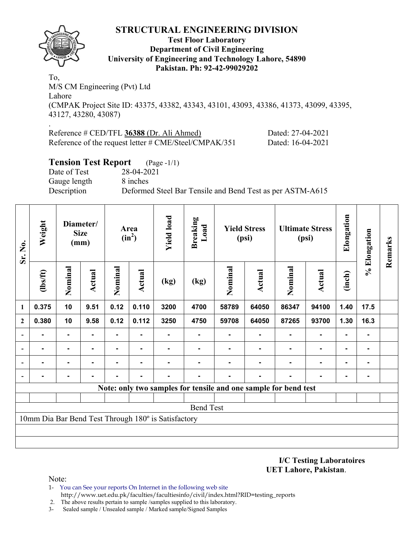

.

#### **Test Floor Laboratory Department of Civil Engineering University of Engineering and Technology Lahore, 54890 Pakistan. Ph: 92-42-99029202**

To, M/S CM Engineering (Pvt) Ltd Lahore (CMPAK Project Site ID: 43375, 43382, 43343, 43101, 43093, 43386, 41373, 43099, 43395, 43127, 43280, 43087)

Reference # CED/TFL **36388** (Dr. Ali Ahmed) Dated: 27-04-2021 Reference of the request letter # CME/Steel/CMPAK/351 Dated: 16-04-2021

### **Tension Test Report** (Page -1/1)

Date of Test 28-04-2021 Gauge length 8 inches

Description Deformed Steel Bar Tensile and Bend Test as per ASTM-A615

| Sr. No.                  | Weight         |                | Diameter/<br><b>Size</b><br>(mm) |         |                |                                                     | Area<br>$(in^2)$                                                |         | <b>Breaking</b><br>Load | <b>Yield Stress</b><br>(psi) |               | <b>Ultimate Stress</b><br>(psi) |      | Elongation | % Elongation | Remarks |
|--------------------------|----------------|----------------|----------------------------------|---------|----------------|-----------------------------------------------------|-----------------------------------------------------------------|---------|-------------------------|------------------------------|---------------|---------------------------------|------|------------|--------------|---------|
|                          | $\frac{2}{10}$ | Nominal        | Actual                           | Nominal | Actual         | (kg)                                                | (kg)                                                            | Nominal | <b>Actual</b>           | Nominal                      | <b>Actual</b> | (inch)                          |      |            |              |         |
| $\mathbf{1}$             | 0.375          | 10             | 9.51                             | 0.12    | 0.110          | 3200                                                | 4700                                                            | 58789   | 64050                   | 86347                        | 94100         | 1.40                            | 17.5 |            |              |         |
| $\mathbf{2}$             | 0.380          | 10             | 9.58                             | 0.12    | 0.112          | 3250                                                | 4750                                                            | 59708   | 64050                   | 87265                        | 93700         | 1.30                            | 16.3 |            |              |         |
| $\overline{\phantom{a}}$ |                | ۰              |                                  |         |                |                                                     |                                                                 |         |                         |                              |               |                                 |      |            |              |         |
| $\overline{\phantom{a}}$ | ۰              | ۰              |                                  |         |                |                                                     |                                                                 |         |                         |                              | ۰             | $\blacksquare$                  |      |            |              |         |
| $\overline{\phantom{a}}$ | -              | ٠.             |                                  |         | $\blacksquare$ |                                                     |                                                                 |         |                         |                              | ٠             | $\blacksquare$                  |      |            |              |         |
| $\overline{\phantom{a}}$ | $\blacksquare$ | $\blacksquare$ |                                  |         |                |                                                     |                                                                 |         | $\blacksquare$          |                              | ۰             | $\blacksquare$                  |      |            |              |         |
|                          |                |                |                                  |         |                |                                                     | Note: only two samples for tensile and one sample for bend test |         |                         |                              |               |                                 |      |            |              |         |
|                          |                |                |                                  |         |                |                                                     |                                                                 |         |                         |                              |               |                                 |      |            |              |         |
|                          |                |                |                                  |         |                |                                                     | <b>Bend Test</b>                                                |         |                         |                              |               |                                 |      |            |              |         |
|                          |                |                |                                  |         |                | 10mm Dia Bar Bend Test Through 180° is Satisfactory |                                                                 |         |                         |                              |               |                                 |      |            |              |         |
|                          |                |                |                                  |         |                |                                                     |                                                                 |         |                         |                              |               |                                 |      |            |              |         |
|                          |                |                |                                  |         |                |                                                     |                                                                 |         |                         |                              |               |                                 |      |            |              |         |

**I/C Testing Laboratoires UET Lahore, Pakistan**.

Note:

- 1- You can See your reports On Internet in the following web site http://www.uet.edu.pk/faculties/facultiesinfo/civil/index.html?RID=testing\_reports
- 2. The above results pertain to sample /samples supplied to this laboratory.
- 3- Sealed sample / Unsealed sample / Marked sample/Signed Samples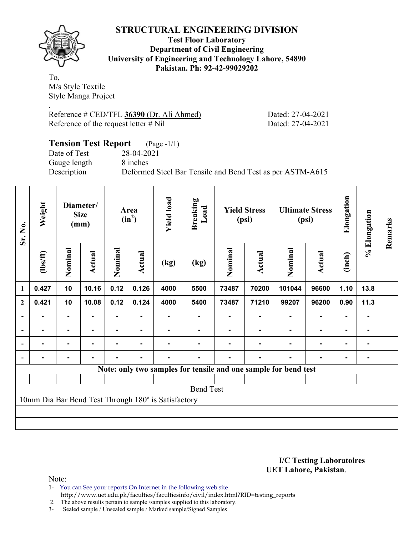

**Test Floor Laboratory Department of Civil Engineering University of Engineering and Technology Lahore, 54890 Pakistan. Ph: 92-42-99029202** 

To, M/s Style Textile Style Manga Project .

Reference # CED/TFL **36390** (Dr. Ali Ahmed) Dated: 27-04-2021 Reference of the request letter # Nil Dated: 27-04-2021

| <b>Tension Test Report</b> (Page -1/1) |                                                           |
|----------------------------------------|-----------------------------------------------------------|
| Date of Test                           | 28-04-2021                                                |
| Gauge length                           | 8 inches                                                  |
| Description                            | Deformed Steel Bar Tensile and Bend Test as per ASTM-A615 |

| Sr. No.                  | Weight<br>Diameter/<br><b>Size</b><br>(mm) |                |        | <b>Yield load</b><br>Area<br>$(in^2)$ |                |                                                     | <b>Breaking</b><br>Load |         | <b>Yield Stress</b><br>(psi) | <b>Ultimate Stress</b><br>(psi)                                 |               | Elongation | % Elongation   | Remarks |
|--------------------------|--------------------------------------------|----------------|--------|---------------------------------------|----------------|-----------------------------------------------------|-------------------------|---------|------------------------------|-----------------------------------------------------------------|---------------|------------|----------------|---------|
|                          | (1bs/ft)                                   | Nominal        | Actual | Nominal                               | Actual         | (kg)                                                | (kg)                    | Nominal | Actual                       | Nominal                                                         | <b>Actual</b> | (inch)     |                |         |
| 1                        | 0.427                                      | 10             | 10.16  | 0.12                                  | 0.126          | 4000                                                | 5500                    | 73487   | 70200                        | 101044                                                          | 96600         | 1.10       | 13.8           |         |
| $\boldsymbol{2}$         | 0.421                                      | 10             | 10.08  | 0.12                                  | 0.124          | 4000                                                | 5400                    | 73487   | 71210                        | 99207                                                           | 96200         | 0.90       | 11.3           |         |
|                          |                                            |                |        |                                       |                |                                                     |                         |         |                              |                                                                 |               |            | ۰              |         |
| $\overline{\phantom{a}}$ |                                            | $\blacksquare$ | -      |                                       | ۰              |                                                     | ۰                       |         |                              |                                                                 | ۰             | ٠          | $\blacksquare$ |         |
|                          | ٠                                          | $\blacksquare$ | -      |                                       | $\blacksquare$ |                                                     |                         |         |                              | $\blacksquare$                                                  |               | ٠          | ۰.             |         |
|                          |                                            | $\blacksquare$ |        | $\blacksquare$                        | ۰              | $\blacksquare$                                      | Ξ.                      |         |                              | $\blacksquare$                                                  | ۰             |            | ۰              |         |
|                          |                                            |                |        |                                       |                |                                                     |                         |         |                              | Note: only two samples for tensile and one sample for bend test |               |            |                |         |
|                          |                                            |                |        |                                       |                |                                                     |                         |         |                              |                                                                 |               |            |                |         |
|                          |                                            |                |        |                                       |                |                                                     | <b>Bend Test</b>        |         |                              |                                                                 |               |            |                |         |
|                          |                                            |                |        |                                       |                | 10mm Dia Bar Bend Test Through 180° is Satisfactory |                         |         |                              |                                                                 |               |            |                |         |
|                          |                                            |                |        |                                       |                |                                                     |                         |         |                              |                                                                 |               |            |                |         |
|                          |                                            |                |        |                                       |                |                                                     |                         |         |                              |                                                                 |               |            |                |         |

**I/C Testing Laboratoires UET Lahore, Pakistan**.

Note:

1- You can See your reports On Internet in the following web site http://www.uet.edu.pk/faculties/facultiesinfo/civil/index.html?RID=testing\_reports

2. The above results pertain to sample /samples supplied to this laboratory.

3- Sealed sample / Unsealed sample / Marked sample/Signed Samples